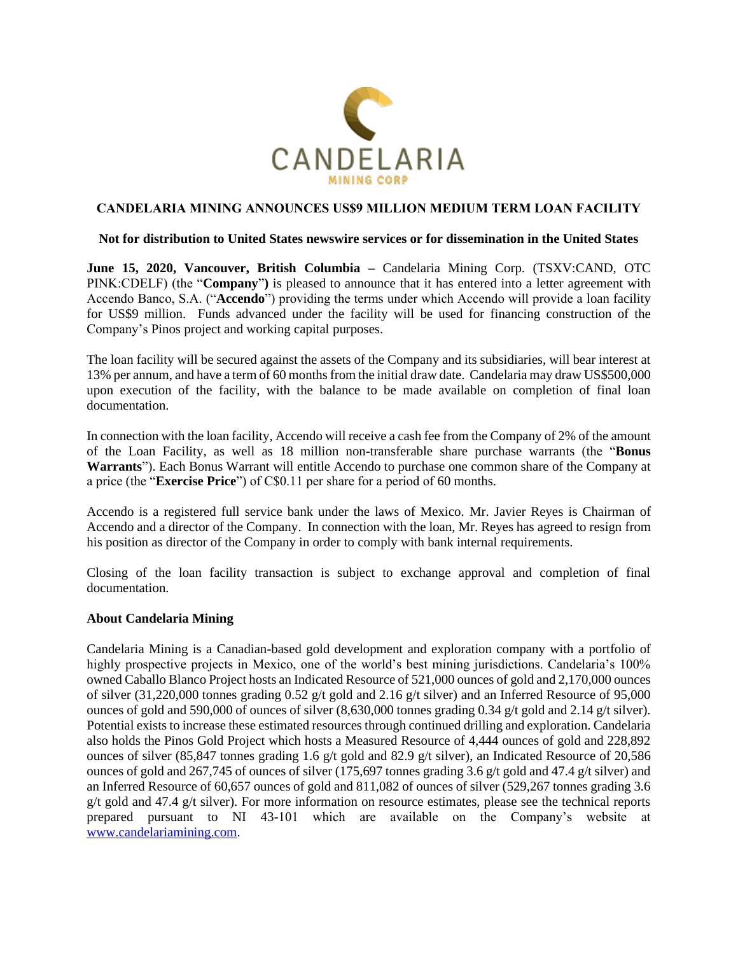

# **CANDELARIA MINING ANNOUNCES US\$9 MILLION MEDIUM TERM LOAN FACILITY**

#### **Not for distribution to United States newswire services or for dissemination in the United States**

**June 15, 2020, Vancouver, British Columbia –** Candelaria Mining Corp. (TSXV:CAND, OTC PINK:CDELF) (the "**Company**"**)** is pleased to announce that it has entered into a letter agreement with Accendo Banco, S.A. ("**Accendo**") providing the terms under which Accendo will provide a loan facility for US\$9 million. Funds advanced under the facility will be used for financing construction of the Company's Pinos project and working capital purposes.

The loan facility will be secured against the assets of the Company and its subsidiaries, will bear interest at 13% per annum, and have a term of 60 months from the initial draw date. Candelaria may draw US\$500,000 upon execution of the facility, with the balance to be made available on completion of final loan documentation.

In connection with the loan facility, Accendo will receive a cash fee from the Company of 2% of the amount of the Loan Facility, as well as 18 million non-transferable share purchase warrants (the "**Bonus Warrants**"). Each Bonus Warrant will entitle Accendo to purchase one common share of the Company at a price (the "**Exercise Price**") of C\$0.11 per share for a period of 60 months.

Accendo is a registered full service bank under the laws of Mexico. Mr. Javier Reyes is Chairman of Accendo and a director of the Company. In connection with the loan, Mr. Reyes has agreed to resign from his position as director of the Company in order to comply with bank internal requirements.

Closing of the loan facility transaction is subject to exchange approval and completion of final documentation.

# **About Candelaria Mining**

Candelaria Mining is a Canadian-based gold development and exploration company with a portfolio of highly prospective projects in Mexico, one of the world's best mining jurisdictions. Candelaria's 100% owned Caballo Blanco Project hosts an Indicated Resource of 521,000 ounces of gold and 2,170,000 ounces of silver (31,220,000 tonnes grading 0.52 g/t gold and 2.16 g/t silver) and an Inferred Resource of 95,000 ounces of gold and 590,000 of ounces of silver (8,630,000 tonnes grading 0.34 g/t gold and 2.14 g/t silver). Potential exists to increase these estimated resources through continued drilling and exploration. Candelaria also holds the Pinos Gold Project which hosts a Measured Resource of 4,444 ounces of gold and 228,892 ounces of silver (85,847 tonnes grading 1.6 g/t gold and 82.9 g/t silver), an Indicated Resource of 20,586 ounces of gold and 267,745 of ounces of silver (175,697 tonnes grading 3.6 g/t gold and 47.4 g/t silver) and an Inferred Resource of 60,657 ounces of gold and 811,082 of ounces of silver (529,267 tonnes grading 3.6 g/t gold and 47.4 g/t silver). For more information on resource estimates, please see the technical reports prepared pursuant to NI 43-101 which are available on the Company's website at [www.candelariamining.com.](http://www.candelariamining.com/)